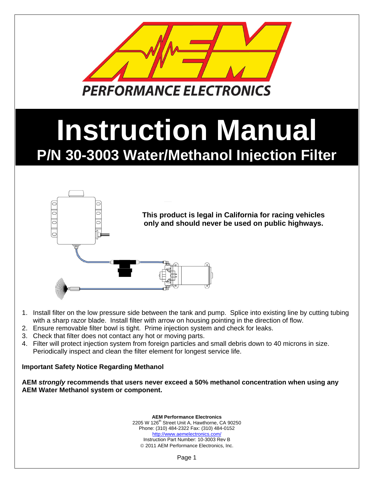

## **Instruction Manual P/N 30-3003 Water/Methanol Injection Filter**



- 1. Install filter on the low pressure side between the tank and pump. Splice into existing line by cutting tubing with a sharp razor blade. Install filter with arrow on housing pointing in the direction of flow.
- 2. Ensure removable filter bowl is tight. Prime injection system and check for leaks.
- 3. Check that filter does not contact any hot or moving parts.
- 4. Filter will protect injection system from foreign particles and small debris down to 40 microns in size. Periodically inspect and clean the filter element for longest service life.

## **Important Safety Notice Regarding Methanol**

**AEM** *strongly* **recommends that users never exceed a 50% methanol concentration when using any AEM Water Methanol system or component.** 

> **AEM Performance Electronics**  2205 W 126<sup>th</sup> Street Unit A, Hawthorne, CA 90250 Phone: (310) 484-2322 Fax: (310) 484-0152 http://www.aemelectronics.com/ Instruction Part Number: 10-3003 Rev B © 2011 AEM Performance Electronics, Inc.

> > Page 1